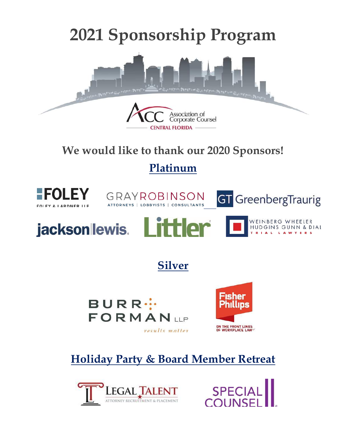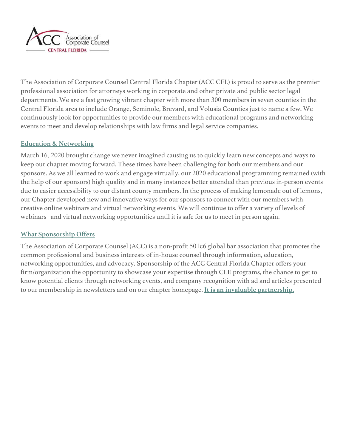

The Association of Corporate Counsel Central Florida Chapter (ACC CFL) is proud to serve as the premier professional association for attorneys working in corporate and other private and public sector legal departments. We are a fast growing vibrant chapter with more than 300 members in seven counties in the Central Florida area to include Orange, Seminole, Brevard, and Volusia Counties just to name a few. We continuously look for opportunities to provide our members with educational programs and networking events to meet and develop relationships with law firms and legal service companies.

### **Education & Networking**

March 16, 2020 brought change we never imagined causing us to quickly learn new concepts and ways to keep our chapter moving forward. These times have been challenging for both our members and our sponsors. As we all learned to work and engage virtually, our 2020 educational programming remained (with the help of our sponsors) high quality and in many instances better attended than previous in-person events due to easier accessibility to our distant county members. In the process of making lemonade out of lemons, our Chapter developed new and innovative ways for our sponsors to connect with our members with creative online webinars and virtual networking events. We will continue to offer a variety of levels of webinars and virtual networking opportunities until it is safe for us to meet in person again.

### **What Sponsorship Offers**

The Association of Corporate Counsel (ACC) is a non-profit 501c6 global bar association that promotes the common professional and business interests of in-house counsel through information, education, networking opportunities, and advocacy. Sponsorship of the ACC Central Florida Chapter offers your firm/organization the opportunity to showcase your expertise through CLE programs, the chance to get to know potential clients through networking events, and company recognition with ad and articles presented to our membership in newsletters and on our chapter homepage. **It is an invaluable partnership.**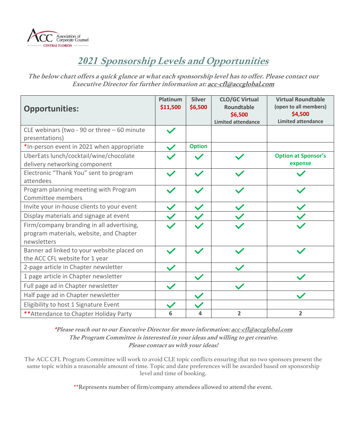

# *2021* **Sponsorship Levels and Opportunities**

**The below chart offers a quick glance at what each sponsorship level has to offer. Please contact our Executive Director for further information at: acc-cfl@accglobal.com**

| <b>Opportunities:</b>                                                                               | <b>Platinum</b><br>\$11,500 | <b>Silver</b><br>\$6,500 | <b>CLO/GC Virtual</b><br>Roundtable<br>\$6,500<br><b>Limited attendance</b> | <b>Virtual Roundtable</b><br>(open to all members)<br>\$4,500<br><b>Limited attendance</b> |
|-----------------------------------------------------------------------------------------------------|-----------------------------|--------------------------|-----------------------------------------------------------------------------|--------------------------------------------------------------------------------------------|
| CLE webinars (two - 90 or three $-60$ minute<br>presentations)                                      |                             |                          |                                                                             |                                                                                            |
| *In-person event in 2021 when appropriate                                                           |                             | <b>Option</b>            |                                                                             |                                                                                            |
| UberEats lunch/cocktail/wine/chocolate<br>delivery networking component                             |                             |                          |                                                                             | <b>Option at Sponsor's</b><br>expense                                                      |
| Electronic "Thank You" sent to program<br>attendees                                                 |                             |                          |                                                                             |                                                                                            |
| Program planning meeting with Program<br>Committee members                                          |                             |                          |                                                                             |                                                                                            |
| Invite your in-house clients to your event                                                          |                             |                          |                                                                             |                                                                                            |
| Display materials and signage at event                                                              |                             |                          |                                                                             |                                                                                            |
| Firm/company branding in all advertising,<br>program materials, website, and Chapter<br>newsletters |                             |                          |                                                                             |                                                                                            |
| Banner ad linked to your website placed on<br>the ACC CFL website for 1 year                        |                             |                          |                                                                             |                                                                                            |
| 2-page article in Chapter newsletter                                                                |                             |                          |                                                                             |                                                                                            |
| 1 page article in Chapter newsletter                                                                |                             |                          |                                                                             |                                                                                            |
| Full page ad in Chapter newsletter                                                                  |                             |                          |                                                                             |                                                                                            |
| Half page ad in Chapter newsletter                                                                  |                             |                          |                                                                             |                                                                                            |
| Eligibility to host 1 Signature Event                                                               |                             |                          |                                                                             |                                                                                            |
| ** Attendance to Chapter Holiday Party                                                              | 6                           | 4                        | $\overline{2}$                                                              | $\overline{2}$                                                                             |

**\*Please reach out to our Executive Director for more information: acc-cfl@accglobal.com The Program Committee is interested in your ideas and willing to get creative. Please contact us with your ideas!**

The ACC CFL Program Committee will work to avoid CLE topic conflicts ensuring that no two sponsors present the same topic within a reasonable amount of time. Topic and date preferences will be awarded based on sponsorship level and time of booking.

\*\*Represents number of firm/company attendees allowed to attend the event.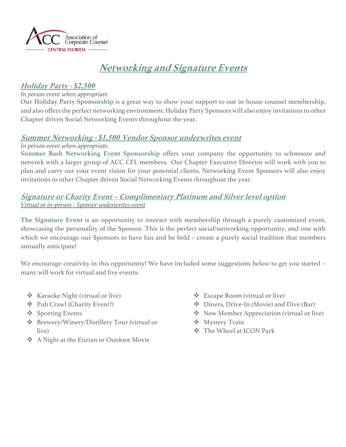

# **Networking and Signature Events**

## **Holiday Party -** *\$2,500*

#### *In person event when appropriate.*

**Our Holiday Party Sponsorship** is a great way to show your support to our in-house counsel membership, and also offers the perfect networking environment. Holiday Party Sponsors will also enjoy invitations to other Chapter driven Social Networking Events throughout the year.

## **Summer Networking -** *\$1,500* **Vendor Sponsor underwrites event**

*In person event when appropriate.*

**Summer Bash Networking Event Sponsorship** offers your company the opportunity to schmooze and network with a larger group of ACC CFL members. Our Chapter Executive Director will work with you to plan and carry out your event vision for your potential clients. Networking Event Sponsors will also enjoy invitations to other Chapter driven Social Networking Events throughout the year.

## **Signature or Charity Event – Complimentary Platinum and Silver level option**  *Virtual or in-person - Sponsor underwrites event*

**The Signature Event** is an opportunity to interact with membership through a purely customized event, showcasing the personality of the Sponsor. This is the perfect social/networking opportunity, and one with which we encourage our Sponsors to have fun and be bold – create a purely social tradition that members annually anticipate!

We encourage creativity in this opportunity! We have included some suggestions below to get you started – many will work for virtual and live events:

- $\div$  Karaoke Night (virtual or live)
- v Pub Crawl (Charity Event?)
- ❖ Sporting Events
- v Brewery/Winery/Distillery Tour (virtual or live)
- v A Night at the Enzian or Outdoor Movie
- $\triangle$  Escape Room (virtual or live)
- v Diners, Drive-In (Movie) and Dive (Bar)
- **❖** New Member Appreciation (virtual or live)
- ❖ Mystery Train
- v The Wheel at ICON Park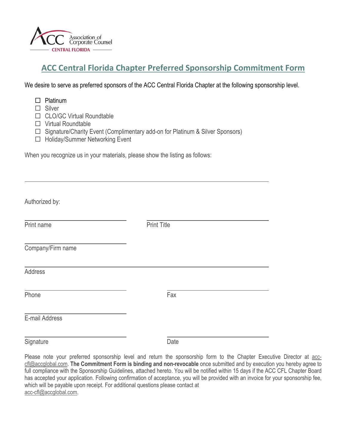

## **ACC Central Florida Chapter Preferred Sponsorship Commitment Form**

We desire to serve as preferred sponsors of the ACC Central Florida Chapter at the following sponsorship level.

 $\square$  Platinum

 $\square$  Silver

□ CLO/GC Virtual Roundtable

 $\Box$  Virtual Roundtable

 $\Box$  Signature/Charity Event (Complimentary add-on for Platinum & Silver Sponsors)

□ Holiday/Summer Networking Event

When you recognize us in your materials, please show the listing as follows:

| Authorized by:    |                    |  |
|-------------------|--------------------|--|
| Print name        | <b>Print Title</b> |  |
| Company/Firm name |                    |  |
| Address           |                    |  |
| Phone             | Fax                |  |
| E-mail Address    |                    |  |

Signature Date

Please note your preferred sponsorship level and return the sponsorship form to the Chapter Executive Director at acccfl@accglobal.com. **The Commitment Form is binding and non-revocable** once submitted and by execution you hereby agree to full compliance with the Sponsorship Guidelines, attached hereto. You will be notified within 15 days if the ACC CFL Chapter Board has accepted your application. Following confirmation of acceptance, you will be provided with an invoice for your sponsorship fee, which will be payable upon receipt. For additional questions please contact at acc-cfl@accglobal.com.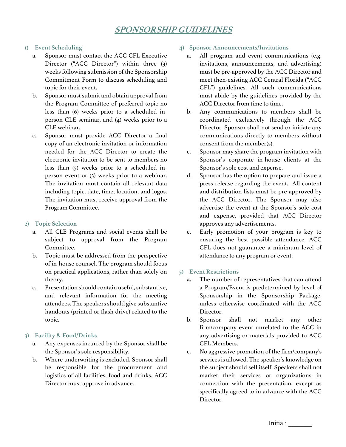## **SPONSORSHIP GUIDELINES**

#### **1) Event Scheduling**

- a. Sponsor must contact the ACC CFL Executive Director ("ACC Director") within three (3) weeks following submission of the Sponsorship Commitment Form to discuss scheduling and topic for their event.
- b. Sponsor must submit and obtain approval from the Program Committee of preferred topic no less than (6) weeks prior to a scheduled inperson CLE seminar, and (4) weeks prior to a CLE webinar.
- c. Sponsor must provide ACC Director a final copy of an electronic invitation or information needed for the ACC Director to create the electronic invitation to be sent to members no less than (5) weeks prior to a scheduled inperson event or (3) weeks prior to a webinar. The invitation must contain all relevant data including topic, date, time, location, and logos. The invitation must receive approval from the Program Committee.

#### **2) Topic Selection**

- a. All CLE Programs and social events shall be subject to approval from the Program Committee.
- b. Topic must be addressed from the perspective of in-house counsel. The program should focus on practical applications, rather than solely on theory.
- c. Presentation should contain useful, substantive, and relevant information for the meeting attendees. The speakers should give substantive handouts (printed or flash drive) related to the topic.

#### **3) Facility & Food/Drinks**

- a. Any expenses incurred by the Sponsor shall be the Sponsor's sole responsibility.
- b. Where underwriting is excluded, Sponsor shall be responsible for the procurement and logistics of all facilities, food and drinks. ACC Director must approve in advance.

#### **4) Sponsor Announcements/Invitations**

- a. All program and event communications (e.g. invitations, announcements, and advertising) must be pre-approved by the ACC Director and meet then-existing ACC Central Florida ("ACC CFL") guidelines. All such communications must abide by the guidelines provided by the ACC Director from time to time.
- b. Any communications to members shall be coordinated exclusively through the ACC Director. Sponsor shall not send or initiate any communications directly to members without consent from the member(s).
- c. Sponsor may share the program invitation with Sponsor's corporate in-house clients at the Sponsor's sole cost and expense.
- d. Sponsor has the option to prepare and issue a press release regarding the event. All content and distribution lists must be pre-approved by the ACC Director. The Sponsor may also advertise the event at the Sponsor's sole cost and expense, provided that ACC Director approves any advertisements.
- e. Early promotion of your program is key to ensuring the best possible attendance. ACC CFL does not guarantee a minimum level of attendance to any program or event.

#### **5) Event Restrictions**

- $\frac{a}{\alpha}$ . The number of representatives that can attend a Program/Event is predetermined by level of Sponsorship in the Sponsorship Package, unless otherwise coordinated with the ACC Director.
- b. Sponsor shall not market any other firm/company event unrelated to the ACC in any advertising or materials provided to ACC CFL Members.
- c. No aggressive promotion of the firm/company's services is allowed. The speaker's knowledge on the subject should sell itself. Speakers shall not market their services or organizations in connection with the presentation, except as specifically agreed to in advance with the ACC Director.